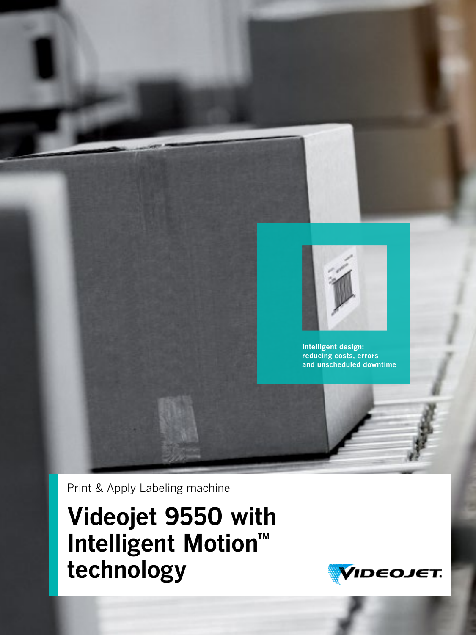

**Intelligent design: reducing costs, errors and unscheduled downtime** 

Print & Apply Labeling machine

**Videojet 9550 with Intelligent Motion™ technology**

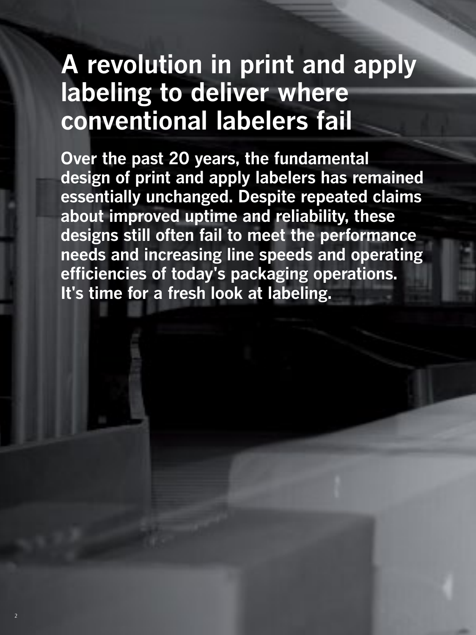# **A revolution in print and apply labeling to deliver where conventional labelers fail**

**Over the past 20 years, the fundamental design of print and apply labelers has remained essentially unchanged. Despite repeated claims about improved uptime and reliability, these designs still often fail to meet the performance needs and increasing line speeds and operating efficiencies of today's packaging operations. It's time for a fresh look at labeling.** 

2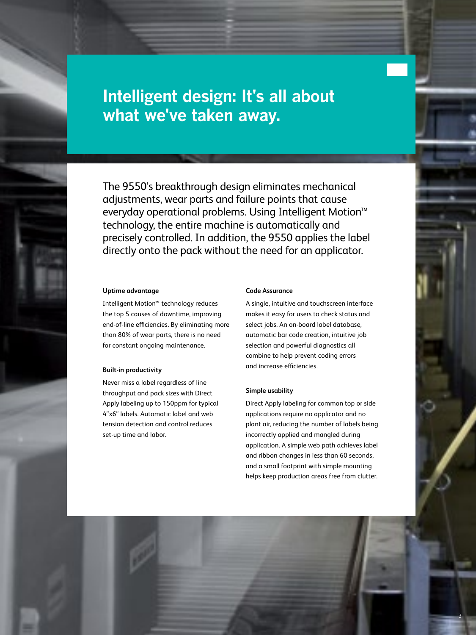# **Intelligent design: It's all about what we've taken away.**

The 9550's breakthrough design eliminates mechanical adjustments, wear parts and failure points that cause everyday operational problems. Using Intelligent Motion™ technology, the entire machine is automatically and precisely controlled. In addition, the 9550 applies the label directly onto the pack without the need for an applicator.

#### **Uptime advantage**

Intelligent Motion™ technology reduces the top 5 causes of downtime, improving end-of-line efficiencies. By eliminating more than 80% of wear parts, there is no need for constant ongoing maintenance.

#### **Built-in productivity**

Never miss a label regardless of line throughput and pack sizes with Direct Apply labeling up to 150ppm for typical 4"x6" labels. Automatic label and web tension detection and control reduces set-up time and labor.

#### **Code Assurance**

A single, intuitive and touchscreen interface makes it easy for users to check status and select jobs. An on-board label database, automatic bar code creation, intuitive job selection and powerful diagnostics all combine to help prevent coding errors and increase efficiencies.

#### **Simple usability**

Direct Apply labeling for common top or side applications require no applicator and no plant air, reducing the number of labels being incorrectly applied and mangled during application. A simple web path achieves label and ribbon changes in less than 60 seconds, and a small footprint with simple mounting helps keep production areas free from clutter.

3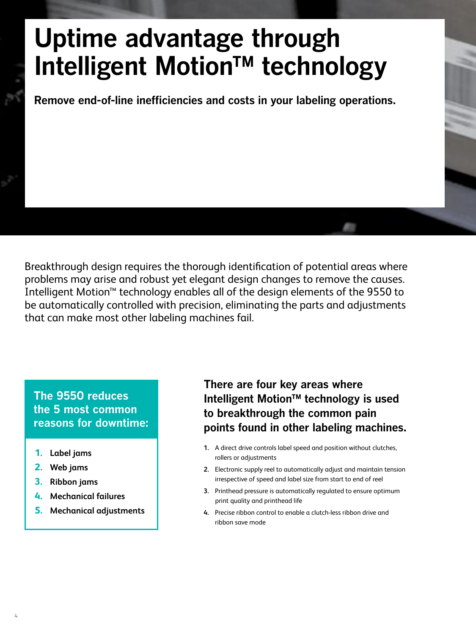# **Uptime advantage through Intelligent Motion™ technology**

**Remove end-of-line inefficiencies and costs in your labeling operations.**

Breakthrough design requires the thorough identification of potential areas where problems may arise and robust yet elegant design changes to remove the causes. Intelligent Motion™ technology enables all of the design elements of the 9550 to be automatically controlled with precision, eliminating the parts and adjustments that can make most other labeling machines fail.

### **The 9550 reduces the 5 most common reasons for downtime:**

- **1. Label jams**
- **2. Web jams**
- **3. Ribbon jams**
- **4. Mechanical failures**
- **5. Mechanical adjustments**

### **There are four key areas where Intelligent Motion™ technology is used to breakthrough the common pain points found in other labeling machines.**

- **1.** A direct drive controls label speed and position without clutches, rollers or adjustments
- **2.** Electronic supply reel to automatically adjust and maintain tension irrespective of speed and label size from start to end of reel
- **3.** Printhead pressure is automatically regulated to ensure optimum print quality and printhead life
- **4.** Precise ribbon control to enable a clutch-less ribbon drive and ribbon save mode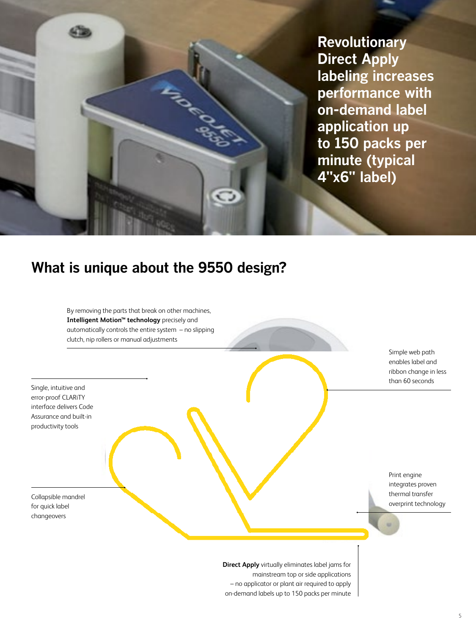**Revolutionary Direct Apply labeling increases performance with on-demand label application up to 150 packs per minute (typical 4"x6" label)**

## **What is unique about the 9550 design?**

By removing the parts that break on other machines, **Intelligent Motion™ technology** precisely and automatically controls the entire system – no slipping clutch, nip rollers or manual adjustments

Single, intuitive and error-proof CLARiTY interface delivers Code Assurance and built-in productivity tools

Collapsible mandrel for quick label changeovers

Simple web path enables label and ribbon change in less than 60 seconds

Print engine integrates proven thermal transfer overprint technology

**Direct Apply** virtually eliminates label jams for mainstream top or side applications – no applicator or plant air required to apply on-demand labels up to 150 packs per minute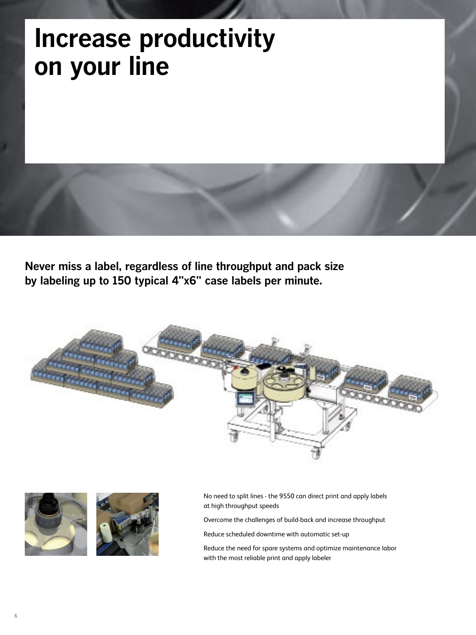# **Increase productivity on your line**

**Never miss a label, regardless of line throughput and pack size by labeling up to 150 typical 4"x6" case labels per minute.**





No need to split lines - the 9550 can direct print and apply labels at high throughput speeds

Overcome the challenges of build-back and increase throughput

Reduce scheduled downtime with automatic set-up

Reduce the need for spare systems and optimize maintenance labor with the most reliable print and apply labeler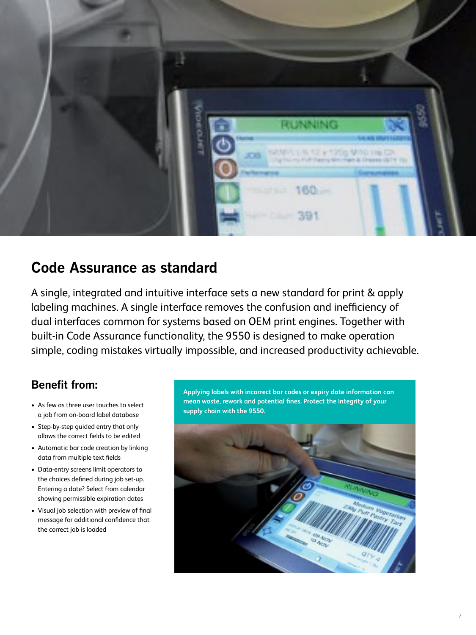

## **Code Assurance as standard**

A single, integrated and intuitive interface sets a new standard for print & apply labeling machines. A single interface removes the confusion and inefficiency of dual interfaces common for systems based on OEM print engines. Together with built-in Code Assurance functionality, the 9550 is designed to make operation simple, coding mistakes virtually impossible, and increased productivity achievable.

## **Benefit from:**

- As few as three user touches to select a job from on-board label database
- Step-by-step guided entry that only allows the correct fields to be edited
- Automatic bar code creation by linking data from multiple text fields
- • Data-entry screens limit operators to the choices defined during job set-up. Entering a date? Select from calendar showing permissible expiration dates
- • Visual job selection with preview of final message for additional confidence that the correct job is loaded

**Applying labels with incorrect bar codes or expiry date information can mean waste, rework and potential fines. Protect the integrity of your supply chain with the 9550.**